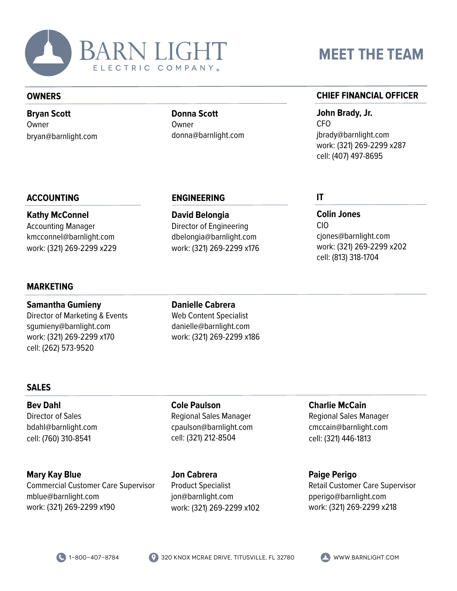

#### **OWNERS**

**Bryan Scott** Owner bryan@barnlight.com **Donna Scott Owner** donna@barnlight.com

**ENGINEERING**

**David Belongia** Director of Engineering dbelongia@barnlight.com work: (321) 269-2299 x176

# **MEET THE TEAM**

## **CHIEF FINANCIAL OFFICER**

**John Brady, Jr.** CFO jbrady@barnlight.com work: (321) 269-2299 x287 cell: (407) 497-8695

**Colin Jones**

cjones@barnlight.com work: (321) 269-2299 x202

cell: (813) 318-1704

CIO

**IT**

# **ACCOUNTING**

**Kathy McConnel** Accounting Manager kmcconnel@barnlight.com work: (321) 269-2299 x229

# **MARKETING**

**Samantha Gumieny** Director of Marketing & Events sgumieny@barnlight.com work: (321) 269-2299 x170 cell: (262) 573-9520

**Danielle Cabrera** Web Content Specialist danielle@barnlight.com work: (321) 269-2299 x186

# **SALES**

**Bev Dahl** Director of Sales bdahl@barnlight.com cell: (760) 310-8541

**Mary Kay Blue** Commercial Customer Care Supervisor mblue@barnlight.com work: (321) 269-2299 x190

**Cole Paulson** Regional Sales Manager cpaulson@barnlight.com cell: (321) 212-8504

**Jon Cabrera** Product Specialist jon@barnlight.com work: (321) 269-2299 x102

**Charlie McCain** Regional Sales Manager cmccain@barnlight.com cell: (321) 446-1813

**Paige Perigo** Retail Customer Care Supervisor pperigo@barnlight.com work: (321) 269-2299 x218